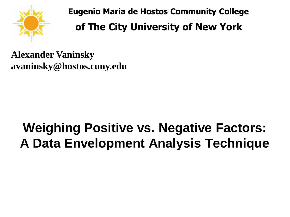

**Eugenio María de Hostos Community College of The City University of New York**

**Alexander Vaninsky avaninsky@hostos.cuny.edu** 

# **Weighing Positive vs. Negative Factors: A Data Envelopment Analysis Technique**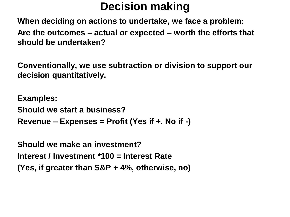# **Decision making**

**When deciding on actions to undertake, we face a problem: Are the outcomes – actual or expected – worth the efforts that should be undertaken?**

**Conventionally, we use subtraction or division to support our decision quantitatively.**

**Examples: Should we start a business? Revenue – Expenses = Profit (Yes if +, No if -)**

**Should we make an investment? Interest / Investment \*100 = Interest Rate (Yes, if greater than S&P + 4%, otherwise, no)**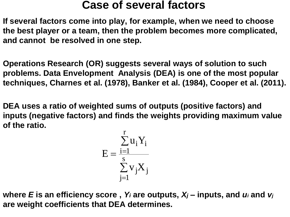## **Case of several factors**

**If several factors come into play, for example, when we need to choose the best player or a team, then the problem becomes more complicated, and cannot be resolved in one step.**

**Operations Research (OR) suggests several ways of solution to such problems. Data Envelopment Analysis (DEA) is one of the most popular techniques, Charnes et al. (1978), Banker et al. (1984), Cooper et al. (2011).**

**DEA uses a ratio of weighted sums of outputs (positive factors) and inputs (negative factors) and finds the weights providing maximum value of the ratio.**

$$
E=\frac{\sum\limits_{i=1}^{r}u_{i}Y_{i}}{\sum\limits_{j=1}^{s}v_{j}X_{j}}
$$

**where** *E* **is an efficiency score ,** *Y<sup>i</sup>* **are outputs,** *X<sup>j</sup>* **– inputs, and** *u<sup>i</sup>* **and** *v<sup>j</sup>* **are weight coefficients that DEA determines.**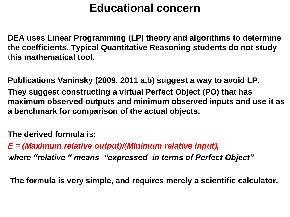## **Educational concern**

**DEA uses Linear Programming (LP) theory and algorithms to determine the coefficients. Typical Quantitative Reasoning students do not study this mathematical tool.**

**Publications Vaninsky (2009, 2011 a,b) suggest a way to avoid LP. They suggest constructing a virtual Perfect Object (PO) that has maximum observed outputs and minimum observed inputs and use it as a benchmark for comparison of the actual objects.**

**The derived formula is:**

*E = (Maximum relative output)/(Minimum relative input),*

*where "relative " means "expressed in terms of Perfect Object"*

**The formula is very simple, and requires merely a scientific calculator.**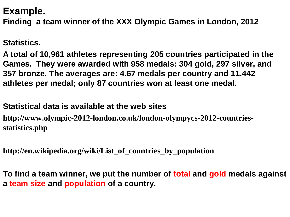### **Example.**

**Finding a team winner of the XXX Olympic Games in London, 2012**

#### **Statistics.**

**A total of 10,961 athletes representing 205 countries participated in the Games. They were awarded with 958 medals: 304 gold, 297 silver, and 357 bronze. The averages are: 4.67 medals per country and 11.442 athletes per medal; only 87 countries won at least one medal.** 

#### **Statistical data is available at the web sites**

**http://www.olympic-2012-london.co.uk/london-olympycs-2012-countriesstatistics.php**

**http://en.wikipedia.org/wiki/List\_of\_countries\_by\_population**

**To find a team winner, we put the number of total and gold medals against a team size and population of a country.**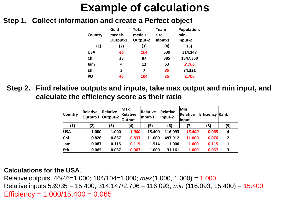## **Example of calculations**

#### **Step 1. Collect information and create a Perfect object**

| Country    | Gold<br>medals<br>Output-1 | Total<br>medals<br>Output-2 | Team<br>size<br>Input-1 | Population,<br>mln<br>Input-2 |
|------------|----------------------------|-----------------------------|-------------------------|-------------------------------|
| (1)        | (2)                        | (3)                         | (4)                     | (5)                           |
| <b>USA</b> | 46                         | 104                         | 539                     | 314.147                       |
| Chi        | 38                         | 87                          | 385                     | 1347.350                      |
| Jam        | 4                          | 12                          | 53                      | 2.706                         |
| Eth        | 3                          | 7                           | 35                      | 84.321                        |
| <b>PO</b>  | 46                         | 104                         | 35                      | 2.706                         |

**Step 2. Find relative outputs and inputs, take max output and min input, and calculate the efficiency score as their ratio**

| Country    | Relative<br>Output-1 | Relative<br>Output-2 | <b>Max</b><br>Relative<br>Output | Relative<br>Input-1 | Relative<br>$ $ Input-2 | Min<br>Relative<br><b>Input</b> | <b>Efficiency Rank</b> |                |
|------------|----------------------|----------------------|----------------------------------|---------------------|-------------------------|---------------------------------|------------------------|----------------|
| (1)        | (2)                  | (3)                  | (4)                              | (5)                 | (6)                     | (7)                             | (8)                    | (9)            |
| <b>USA</b> | 1.000                | 1.000                | 1.000                            | 15.400              | 116.093                 | <i><b>15.400</b></i>            | 0.065                  | 4              |
| Chi        | 0.826                | 0.837                | 0.837                            | 11.000              | 497.912                 | 11.000                          | 0.076                  | $\overline{2}$ |
| Jam        | 0.087                | 0.115                | 0.115                            | 1.514               | 1.000                   | 1.000                           | 0.115                  | 1              |
| Eth        | 0.065                | 0.067                | 0.067                            | 1.000               | 31.161                  | 1.000                           | 0.067                  | 3              |

#### **Calculations for the USA**:

Relative outputs 46/46=1.000; 104/104=1.000; *max*(1.000, 1.000) = 1.000 Relative inputs 539/35 = 15.400; 314.147/2.706 = 116.093; *min* (116.093, 15.400) = 15.400 Efficiency =  $1.000/15.400 = 0.065$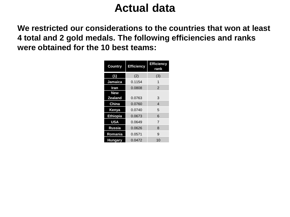## **Actual data**

**We restricted our considerations to the countries that won at least 4 total and 2 gold medals. The following efficiencies and ranks were obtained for the 10 best teams:** 

| <b>Country</b>  | <b>Efficiency</b> | <b>Efficiency</b><br>rank |  |
|-----------------|-------------------|---------------------------|--|
| (1)             | (2)               | (3)                       |  |
| Jamaica         | 0.1154            | 1                         |  |
| Iran            | 0.0808            | $\mathcal{P}$             |  |
| <b>New</b>      |                   |                           |  |
| <b>Zealand</b>  | 0.0763            | 3                         |  |
| China           | 0.0760            | 4                         |  |
| Kenya           | 0.0740            | 5                         |  |
| <b>Ethiopia</b> | 0.0673            | 6                         |  |
| <b>USA</b>      | 0.0649            | 7                         |  |
| <b>Russia</b>   | 0.0626            | 8                         |  |
| Romania         | 0.0571            | 9                         |  |
| Hungary         | 0.0472            | 10                        |  |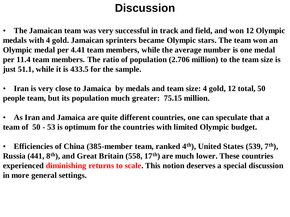## **Discussion**

• **The Jamaican team was very successful in track and field, and won 12 Olympic medals with 4 gold. Jamaican sprinters became Olympic stars. The team won an Olympic medal per 4.41 team members, while the average number is one medal per 11.4 team members. The ratio of population (2.706 million) to the team size is just 51.1, while it is 433.5 for the sample.** 

• **Iran is very close to Jamaica by medals and team size: 4 gold, 12 total, 50 people team, but its population much greater: 75.15 million.** 

• **As Iran and Jamaica are quite different countries, one can speculate that a team of 50 - 53 is optimum for the countries with limited Olympic budget.** 

• **Efficiencies of China (385-member team, ranked 4th), United States (539, 7th), Russia (441, 8th), and Great Britain (558, 17th) are much lower. These countries experienced diminishing returns to scale. This notion deserves a special discussion in more general settings.**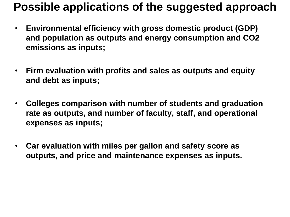## **Possible applications of the suggested approach**

- **Environmental efficiency with gross domestic product (GDP) and population as outputs and energy consumption and CO2 emissions as inputs;**
- **Firm evaluation with profits and sales as outputs and equity and debt as inputs;**
- **Colleges comparison with number of students and graduation rate as outputs, and number of faculty, staff, and operational expenses as inputs;**
- **Car evaluation with miles per gallon and safety score as outputs, and price and maintenance expenses as inputs.**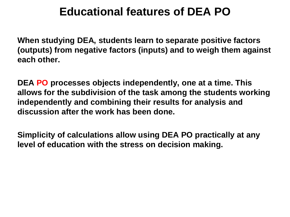## **Educational features of DEA PO**

**When studying DEA, students learn to separate positive factors (outputs) from negative factors (inputs) and to weigh them against each other.** 

**DEA PO processes objects independently, one at a time. This allows for the subdivision of the task among the students working independently and combining their results for analysis and discussion after the work has been done.** 

**Simplicity of calculations allow using DEA PO practically at any level of education with the stress on decision making.**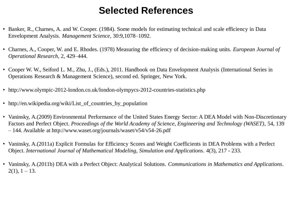## **Selected References**

- Banker, R., Charnes, A. and W. Cooper. (1984). Some models for estimating technical and scale efficiency in Data Envelopment Analysis. *Management Science*, 30:9,1078–1092.
- Charnes, A., Cooper, W. and E. Rhodes. (1978) Measuring the efficiency of decision-making units. *European Journal of Operational Research*, 2, 429–444.
- Cooper W. W., Seiford L. M., Zhu, J., (Eds.), 2011. Handbook on Data Envelopment Analysis (International Series in Operations Research & Management Science), second ed. Springer, New York.
- http://www.olympic-2012-london.co.uk/london-olympycs-2012-countries-statistics.php
- http://en.wikipedia.org/wiki/List\_of\_countries\_by\_population
- Vaninsky, A.(2009) Environmental Performance of the United States Energy Sector: A DEA Model with Non-Discretionary Factors and Perfect Object. *Proceedings of the World Academy of Science, Engineering and Technology (WASET)*, 54, 139 – 144. Available at http://www.waset.org/journals/waset/v54/v54-26.pdf
- Vaninsky, A.(2011a) Explicit Formulas for Efficiency Scores and Weight Coefficients in DEA Problems with a Perfect Object. *International Journal of Mathematical Modeling, Simulation and Applications*. 4(3), 217 - 233.
- Vaninsky, A.(2011b) DEA with a Perfect Object: Analytical Solutions. *Communications in Mathematics and Applications*.  $2(1)$ ,  $1 - 13$ .